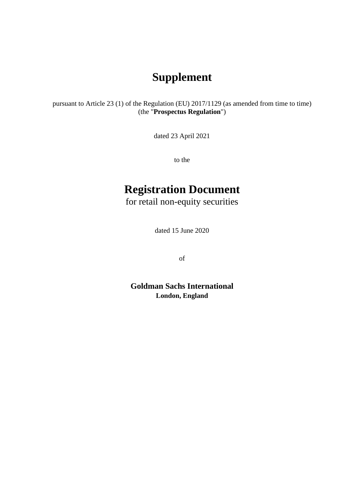# **Supplement**

pursuant to Article 23 (1) of the Regulation (EU) 2017/1129 (as amended from time to time) (the "**Prospectus Regulation**")

dated 23 April 2021

to the

# **Registration Document**

for retail non-equity securities

dated 15 June 2020

of

**Goldman Sachs International London, England**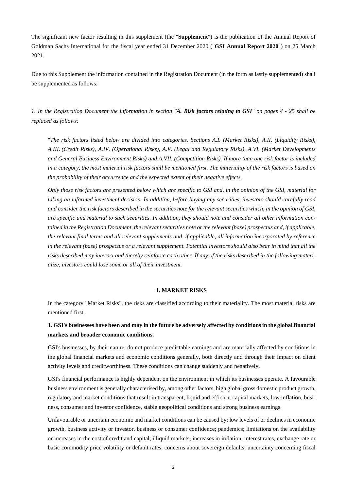The significant new factor resulting in this supplement (the "**Supplement**") is the publication of the Annual Report of Goldman Sachs International for the fiscal year ended 31 December 2020 ("**GSI Annual Report 2020**") on 25 March 2021.

Due to this Supplement the information contained in the Registration Document (in the form as lastly supplemented) shall be supplemented as follows:

*1. In the Registration Document the information in section "A. Risk factors relating to GSI" on pages 4 - 25 shall be replaced as follows:* 

"*The risk factors listed below are divided into categories. Sections A.I. (Market Risks), A.II. (Liquidity Risks), A.III. (Credit Risks), A.IV. (Operational Risks), A.V. (Legal and Regulatory Risks), A.VI. (Market Developments and General Business Environment Risks) and A.VII. (Competition Risks). If more than one risk factor is included in a category, the most material risk factors shall be mentioned first. The materiality of the risk factors is based on the probability of their occurrence and the expected extent of their negative effects.* 

*Only those risk factors are presented below which are specific to GSI and, in the opinion of the GSI, material for taking an informed investment decision. In addition, before buying any securities, investors should carefully read and consider the risk factors described in the securities note for the relevant securities which, in the opinion of GSI, are specific and material to such securities. In addition, they should note and consider all other information contained in the Registration Document, the relevant securities note or the relevant (base) prospectus and, if applicable, the relevant final terms and all relevant supplements and, if applicable, all information incorporated by reference in the relevant (base) prospectus or a relevant supplement. Potential investors should also bear in mind that all the risks described may interact and thereby reinforce each other. If any of the risks described in the following materialize, investors could lose some or all of their investment.* 

### **I. MARKET RISKS**

In the category "Market Risks", the risks are classified according to their materiality. The most material risks are mentioned first.

## **1. GSI's businesses have been and may in the future be adversely affected by conditions in the global financial markets and broader economic conditions.**

GSI's businesses, by their nature, do not produce predictable earnings and are materially affected by conditions in the global financial markets and economic conditions generally, both directly and through their impact on client activity levels and creditworthiness. These conditions can change suddenly and negatively.

GSI's financial performance is highly dependent on the environment in which its businesses operate. A favourable business environment is generally characterised by, among other factors, high global gross domestic product growth, regulatory and market conditions that result in transparent, liquid and efficient capital markets, low inflation, business, consumer and investor confidence, stable geopolitical conditions and strong business earnings.

Unfavourable or uncertain economic and market conditions can be caused by: low levels of or declines in economic growth, business activity or investor, business or consumer confidence; pandemics; limitations on the availability or increases in the cost of credit and capital; illiquid markets; increases in inflation, interest rates, exchange rate or basic commodity price volatility or default rates; concerns about sovereign defaults; uncertainty concerning fiscal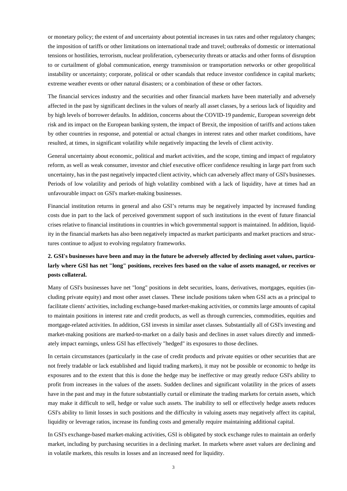or monetary policy; the extent of and uncertainty about potential increases in tax rates and other regulatory changes; the imposition of tariffs or other limitations on international trade and travel; outbreaks of domestic or international tensions or hostilities, terrorism, nuclear proliferation, cybersecurity threats or attacks and other forms of disruption to or curtailment of global communication, energy transmission or transportation networks or other geopolitical instability or uncertainty; corporate, political or other scandals that reduce investor confidence in capital markets; extreme weather events or other natural disasters; or a combination of these or other factors.

The financial services industry and the securities and other financial markets have been materially and adversely affected in the past by significant declines in the values of nearly all asset classes, by a serious lack of liquidity and by high levels of borrower defaults. In addition, concerns about the COVID-19 pandemic, European sovereign debt risk and its impact on the European banking system, the impact of Brexit, the imposition of tariffs and actions taken by other countries in response, and potential or actual changes in interest rates and other market conditions, have resulted, at times, in significant volatility while negatively impacting the levels of client activity.

General uncertainty about economic, political and market activities, and the scope, timing and impact of regulatory reform, as well as weak consumer, investor and chief executive officer confidence resulting in large part from such uncertainty, has in the past negatively impacted client activity, which can adversely affect many of GSI's businesses. Periods of low volatility and periods of high volatility combined with a lack of liquidity, have at times had an unfavourable impact on GSI's market-making businesses.

Financial institution returns in general and also GSI's returns may be negatively impacted by increased funding costs due in part to the lack of perceived government support of such institutions in the event of future financial crises relative to financial institutions in countries in which governmental support is maintained. In addition, liquidity in the financial markets has also been negatively impacted as market participants and market practices and structures continue to adjust to evolving regulatory frameworks.

# **2. GSI's businesses have been and may in the future be adversely affected by declining asset values, particularly where GSI has net "long" positions, receives fees based on the value of assets managed, or receives or posts collateral.**

Many of GSI's businesses have net "long" positions in debt securities, loans, derivatives, mortgages, equities (including private equity) and most other asset classes. These include positions taken when GSI acts as a principal to facilitate clients' activities, including exchange-based market-making activities, or commits large amounts of capital to maintain positions in interest rate and credit products, as well as through currencies, commodities, equities and mortgage-related activities. In addition, GSI invests in similar asset classes. Substantially all of GSI's investing and market-making positions are marked-to-market on a daily basis and declines in asset values directly and immediately impact earnings, unless GSI has effectively "hedged" its exposures to those declines.

In certain circumstances (particularly in the case of credit products and private equities or other securities that are not freely tradable or lack established and liquid trading markets), it may not be possible or economic to hedge its exposures and to the extent that this is done the hedge may be ineffective or may greatly reduce GSI's ability to profit from increases in the values of the assets. Sudden declines and significant volatility in the prices of assets have in the past and may in the future substantially curtail or eliminate the trading markets for certain assets, which may make it difficult to sell, hedge or value such assets. The inability to sell or effectively hedge assets reduces GSI's ability to limit losses in such positions and the difficulty in valuing assets may negatively affect its capital, liquidity or leverage ratios, increase its funding costs and generally require maintaining additional capital.

In GSI's exchange-based market-making activities, GSI is obligated by stock exchange rules to maintain an orderly market, including by purchasing securities in a declining market. In markets where asset values are declining and in volatile markets, this results in losses and an increased need for liquidity.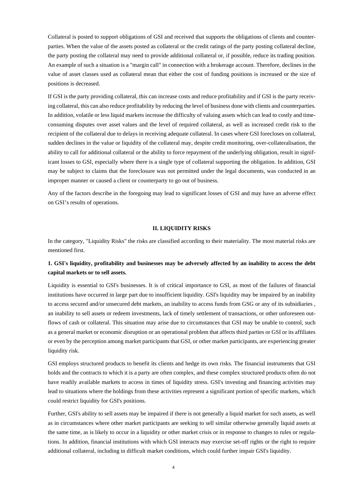Collateral is posted to support obligations of GSI and received that supports the obligations of clients and counterparties. When the value of the assets posted as collateral or the credit ratings of the party posting collateral decline, the party posting the collateral may need to provide additional collateral or, if possible, reduce its trading position. An example of such a situation is a "margin call" in connection with a brokerage account. Therefore, declines in the value of asset classes used as collateral mean that either the cost of funding positions is increased or the size of positions is decreased.

If GSI is the party providing collateral, this can increase costs and reduce profitability and if GSI is the party receiving collateral, this can also reduce profitability by reducing the level of business done with clients and counterparties. In addition, volatile or less liquid markets increase the difficulty of valuing assets which can lead to costly and timeconsuming disputes over asset values and the level of required collateral, as well as increased credit risk to the recipient of the collateral due to delays in receiving adequate collateral. In cases where GSI forecloses on collateral, sudden declines in the value or liquidity of the collateral may, despite credit monitoring, over-collateralisation, the ability to call for additional collateral or the ability to force repayment of the underlying obligation, result in significant losses to GSI, especially where there is a single type of collateral supporting the obligation. In addition, GSI may be subject to claims that the foreclosure was not permitted under the legal documents, was conducted in an improper manner or caused a client or counterparty to go out of business.

Any of the factors describe in the foregoing may lead to significant losses of GSI and may have an adverse effect on GSI's results of operations.

### **II. LIQUIDITY RISKS**

In the category, "Liquidity Risks" the risks are classified according to their materiality. The most material risks are mentioned first.

# **1. GSI's liquidity, profitability and businesses may be adversely affected by an inability to access the debt capital markets or to sell assets.**

Liquidity is essential to GSI's businesses. It is of critical importance to GSI, as most of the failures of financial institutions have occurred in large part due to insufficient liquidity. GSI's liquidity may be impaired by an inability to access secured and/or unsecured debt markets, an inability to access funds from GSG or any of its subsidiaries , an inability to sell assets or redeem investments, lack of timely settlement of transactions, or other unforeseen outflows of cash or collateral. This situation may arise due to circumstances that GSI may be unable to control, such as a general market or economic disruption or an operational problem that affects third parties or GSI or its affiliates or even by the perception among market participants that GSI, or other market participants, are experiencing greater liquidity risk.

GSI employs structured products to benefit its clients and hedge its own risks. The financial instruments that GSI holds and the contracts to which it is a party are often complex, and these complex structured products often do not have readily available markets to access in times of liquidity stress. GSI's investing and financing activities may lead to situations where the holdings from these activities represent a significant portion of specific markets, which could restrict liquidity for GSI's positions.

Further, GSI's ability to sell assets may be impaired if there is not generally a liquid market for such assets, as well as in circumstances where other market participants are seeking to sell similar otherwise generally liquid assets at the same time, as is likely to occur in a liquidity or other market crisis or in response to changes to rules or regulations. In addition, financial institutions with which GSI interacts may exercise set-off rights or the right to require additional collateral, including in difficult market conditions, which could further impair GSI's liquidity.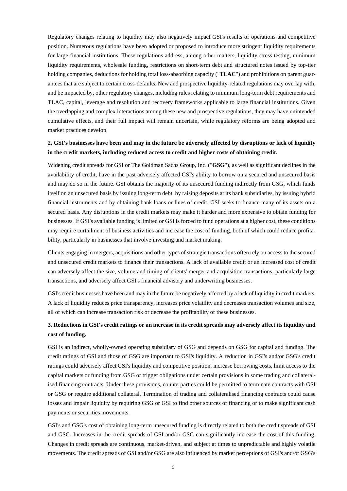Regulatory changes relating to liquidity may also negatively impact GSI's results of operations and competitive position. Numerous regulations have been adopted or proposed to introduce more stringent liquidity requirements for large financial institutions. These regulations address, among other matters, liquidity stress testing, minimum liquidity requirements, wholesale funding, restrictions on short-term debt and structured notes issued by top-tier holding companies, deductions for holding total loss-absorbing capacity ("**TLAC**") and prohibitions on parent guarantees that are subject to certain cross-defaults. New and prospective liquidity-related regulations may overlap with, and be impacted by, other regulatory changes, including rules relating to minimum long-term debt requirements and TLAC, capital, leverage and resolution and recovery frameworks applicable to large financial institutions. Given the overlapping and complex interactions among these new and prospective regulations, they may have unintended cumulative effects, and their full impact will remain uncertain, while regulatory reforms are being adopted and market practices develop.

# **2. GSI's businesses have been and may in the future be adversely affected by disruptions or lack of liquidity in the credit markets, including reduced access to credit and higher costs of obtaining credit.**

Widening credit spreads for GSI or The Goldman Sachs Group, Inc. ("**GSG**"), as well as significant declines in the availability of credit, have in the past adversely affected GSI's ability to borrow on a secured and unsecured basis and may do so in the future. GSI obtains the majority of its unsecured funding indirectly from GSG, which funds itself on an unsecured basis by issuing long-term debt, by raising deposits at its bank subsidiaries, by issuing hybrid financial instruments and by obtaining bank loans or lines of credit. GSI seeks to finance many of its assets on a secured basis. Any disruptions in the credit markets may make it harder and more expensive to obtain funding for businesses. If GSI's available funding is limited or GSI is forced to fund operations at a higher cost, these conditions may require curtailment of business activities and increase the cost of funding, both of which could reduce profitability, particularly in businesses that involve investing and market making.

Clients engaging in mergers, acquisitions and other types of strategic transactions often rely on access to the secured and unsecured credit markets to finance their transactions. A lack of available credit or an increased cost of credit can adversely affect the size, volume and timing of clients' merger and acquisition transactions, particularly large transactions, and adversely affect GSI's financial advisory and underwriting businesses.

GSI's credit businesses have been and may in the future be negatively affected by a lack of liquidity in credit markets. A lack of liquidity reduces price transparency, increases price volatility and decreases transaction volumes and size, all of which can increase transaction risk or decrease the profitability of these businesses.

# **3. Reductions in GSI's credit ratings or an increase in its credit spreads may adversely affect its liquidity and cost of funding.**

GSI is an indirect, wholly-owned operating subsidiary of GSG and depends on GSG for capital and funding. The credit ratings of GSI and those of GSG are important to GSI's liquidity. A reduction in GSI's and/or GSG's credit ratings could adversely affect GSI's liquidity and competitive position, increase borrowing costs, limit access to the capital markets or funding from GSG or trigger obligations under certain provisions in some trading and collateralised financing contracts. Under these provisions, counterparties could be permitted to terminate contracts with GSI or GSG or require additional collateral. Termination of trading and collateralised financing contracts could cause losses and impair liquidity by requiring GSG or GSI to find other sources of financing or to make significant cash payments or securities movements.

GSI's and GSG's cost of obtaining long-term unsecured funding is directly related to both the credit spreads of GSI and GSG. Increases in the credit spreads of GSI and/or GSG can significantly increase the cost of this funding. Changes in credit spreads are continuous, market-driven, and subject at times to unpredictable and highly volatile movements. The credit spreads of GSI and/or GSG are also influenced by market perceptions of GSI's and/or GSG's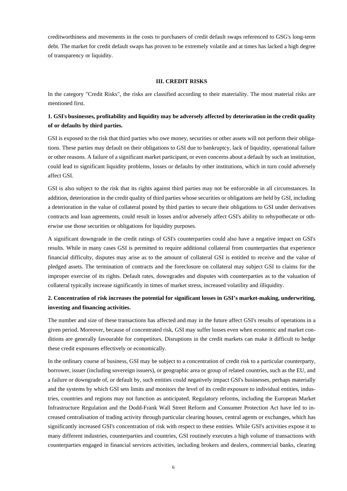creditworthiness and movements in the costs to purchasers of credit default swaps referenced to GSG's long-term debt. The market for credit default swaps has proven to be extremely volatile and at times has lacked a high degree of transparency or liquidity.

### **III. CREDIT RISKS**

In the category "Credit Risks", the risks are classified according to their materiality. The most material risks are mentioned first.

# **1. GSI**'**s businesses, profitability and liquidity may be adversely affected by deterioration in the credit quality of or defaults by third parties.**

GSI is exposed to the risk that third parties who owe money, securities or other assets will not perform their obligations. These parties may default on their obligations to GSI due to bankruptcy, lack of liquidity, operational failure or other reasons. A failure of a significant market participant, or even concerns about a default by such an institution, could lead to significant liquidity problems, losses or defaults by other institutions, which in turn could adversely affect GSI.

GSI is also subject to the risk that its rights against third parties may not be enforceable in all circumstances. In addition, deterioration in the credit quality of third parties whose securities or obligations are held by GSI, including a deterioration in the value of collateral posted by third parties to secure their obligations to GSI under derivatives contracts and loan agreements, could result in losses and/or adversely affect GSI's ability to rehypothecate or otherwise use those securities or obligations for liquidity purposes.

A significant downgrade in the credit ratings of GSI's counterparties could also have a negative impact on GSI's results. While in many cases GSI is permitted to require additional collateral from counterparties that experience financial difficulty, disputes may arise as to the amount of collateral GSI is entitled to receive and the value of pledged assets. The termination of contracts and the foreclosure on collateral may subject GSI to claims for the improper exercise of its rights. Default rates, downgrades and disputes with counterparties as to the valuation of collateral typically increase significantly in times of market stress, increased volatility and illiquidity.

# **2. Concentration of risk increases the potential for significant losses in GSI's market-making, underwriting, investing and financing activities.**

The number and size of these transactions has affected and may in the future affect GSI's results of operations in a given period. Moreover, because of concentrated risk, GSI may suffer losses even when economic and market conditions are generally favourable for competitors. Disruptions in the credit markets can make it difficult to hedge these credit exposures effectively or economically.

In the ordinary course of business, GSI may be subject to a concentration of credit risk to a particular counterparty, borrower, issuer (including sovereign issuers), or geographic area or group of related countries, such as the EU, and a failure or downgrade of, or default by, such entities could negatively impact GSI's businesses, perhaps materially and the systems by which GSI sets limits and monitors the level of its credit exposure to individual entities, industries, countries and regions may not function as anticipated. Regulatory reforms, including the European Market Infrastructure Regulation and the Dodd-Frank Wall Street Reform and Consumer Protection Act have led to increased centralisation of trading activity through particular clearing houses, central agents or exchanges, which has significantly increased GSI's concentration of risk with respect to these entities. While GSI's activities expose it to many different industries, counterparties and countries, GSI routinely executes a high volume of transactions with counterparties engaged in financial services activities, including brokers and dealers, commercial banks, clearing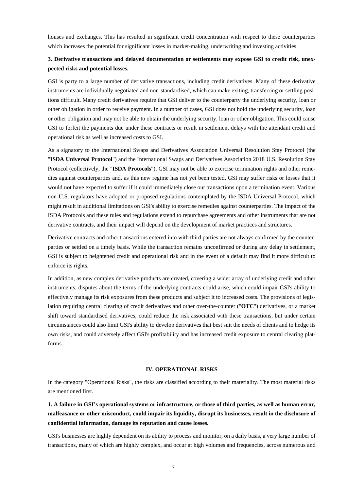houses and exchanges. This has resulted in significant credit concentration with respect to these counterparties which increases the potential for significant losses in market-making, underwriting and investing activities.

# **3. Derivative transactions and delayed documentation or settlements may expose GSI to credit risk, unexpected risks and potential losses.**

GSI is party to a large number of derivative transactions, including credit derivatives. Many of these derivative instruments are individually negotiated and non-standardised, which can make exiting, transferring or settling positions difficult. Many credit derivatives require that GSI deliver to the counterparty the underlying security, loan or other obligation in order to receive payment. In a number of cases, GSI does not hold the underlying security, loan or other obligation and may not be able to obtain the underlying security, loan or other obligation. This could cause GSI to forfeit the payments due under these contracts or result in settlement delays with the attendant credit and operational risk as well as increased costs to GSI.

As a signatory to the International Swaps and Derivatives Association Universal Resolution Stay Protocol (the "**ISDA Universal Protocol**") and the International Swaps and Derivatives Association 2018 U.S. Resolution Stay Protocol (collectively, the "**ISDA Protocols**"), GSI may not be able to exercise termination rights and other remedies against counterparties and, as this new regime has not yet been tested, GSI may suffer risks or losses that it would not have expected to suffer if it could immediately close out transactions upon a termination event. Various non-U.S. regulators have adopted or proposed regulations contemplated by the ISDA Universal Protocol, which might result in additional limitations on GSI's ability to exercise remedies against counterparties. The impact of the ISDA Protocols and these rules and regulations extend to repurchase agreements and other instruments that are not derivative contracts, and their impact will depend on the development of market practices and structures.

Derivative contracts and other transactions entered into with third parties are not always confirmed by the counterparties or settled on a timely basis. While the transaction remains unconfirmed or during any delay in settlement, GSI is subject to heightened credit and operational risk and in the event of a default may find it more difficult to enforce its rights.

In addition, as new complex derivative products are created, covering a wider array of underlying credit and other instruments, disputes about the terms of the underlying contracts could arise, which could impair GSI's ability to effectively manage its risk exposures from these products and subject it to increased costs. The provisions of legislation requiring central clearing of credit derivatives and other over-the-counter ("**OTC**") derivatives, or a market shift toward standardised derivatives, could reduce the risk associated with these transactions, but under certain circumstances could also limit GSI's ability to develop derivatives that best suit the needs of clients and to hedge its own risks, and could adversely affect GSI's profitability and has increased credit exposure to central clearing platforms.

### **IV. OPERATIONAL RISKS**

In the category "Operational Risks", the risks are classified according to their materiality. The most material risks are mentioned first.

**1. A failure in GSI's operational systems or infrastructure, or those of third parties, as well as human error, malfeasance or other misconduct, could impair its liquidity, disrupt its businesses, result in the disclosure of confidential information, damage its reputation and cause losses.** 

GSI's businesses are highly dependent on its ability to process and monitor, on a daily basis, a very large number of transactions, many of which are highly complex, and occur at high volumes and frequencies, across numerous and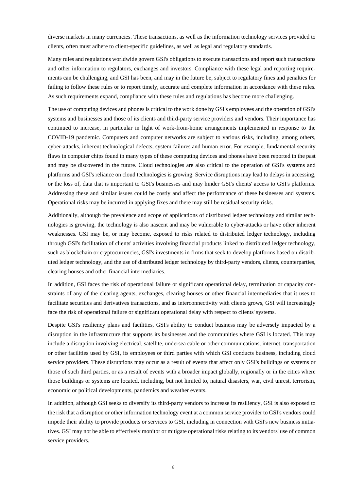diverse markets in many currencies. These transactions, as well as the information technology services provided to clients, often must adhere to client-specific guidelines, as well as legal and regulatory standards.

Many rules and regulations worldwide govern GSI's obligations to execute transactions and report such transactions and other information to regulators, exchanges and investors. Compliance with these legal and reporting requirements can be challenging, and GSI has been, and may in the future be, subject to regulatory fines and penalties for failing to follow these rules or to report timely, accurate and complete information in accordance with these rules. As such requirements expand, compliance with these rules and regulations has become more challenging.

The use of computing devices and phones is critical to the work done by GSI's employees and the operation of GSI's systems and businesses and those of its clients and third-party service providers and vendors. Their importance has continued to increase, in particular in light of work-from-home arrangements implemented in response to the COVID-19 pandemic. Computers and computer networks are subject to various risks, including, among others, cyber-attacks, inherent technological defects, system failures and human error. For example, fundamental security flaws in computer chips found in many types of these computing devices and phones have been reported in the past and may be discovered in the future. Cloud technologies are also critical to the operation of GSI's systems and platforms and GSI's reliance on cloud technologies is growing. Service disruptions may lead to delays in accessing, or the loss of, data that is important to GSI's businesses and may hinder GSI's clients' access to GSI's platforms. Addressing these and similar issues could be costly and affect the performance of these businesses and systems. Operational risks may be incurred in applying fixes and there may still be residual security risks.

Additionally, although the prevalence and scope of applications of distributed ledger technology and similar technologies is growing, the technology is also nascent and may be vulnerable to cyber-attacks or have other inherent weaknesses. GSI may be, or may become, exposed to risks related to distributed ledger technology, including through GSI's facilitation of clients' activities involving financial products linked to distributed ledger technology, such as blockchain or cryptocurrencies, GSI's investments in firms that seek to develop platforms based on distributed ledger technology, and the use of distributed ledger technology by third-party vendors, clients, counterparties, clearing houses and other financial intermediaries.

In addition, GSI faces the risk of operational failure or significant operational delay, termination or capacity constraints of any of the clearing agents, exchanges, clearing houses or other financial intermediaries that it uses to facilitate securities and derivatives transactions, and as interconnectivity with clients grows, GSI will increasingly face the risk of operational failure or significant operational delay with respect to clients' systems.

Despite GSI's resiliency plans and facilities, GSI's ability to conduct business may be adversely impacted by a disruption in the infrastructure that supports its businesses and the communities where GSI is located. This may include a disruption involving electrical, satellite, undersea cable or other communications, internet, transportation or other facilities used by GSI, its employees or third parties with which GSI conducts business, including cloud service providers. These disruptions may occur as a result of events that affect only GSI's buildings or systems or those of such third parties, or as a result of events with a broader impact globally, regionally or in the cities where those buildings or systems are located, including, but not limited to, natural disasters, war, civil unrest, terrorism, economic or political developments, pandemics and weather events.

In addition, although GSI seeks to diversify its third-party vendors to increase its resiliency, GSI is also exposed to the risk that a disruption or other information technology event at a common service provider to GSI's vendors could impede their ability to provide products or services to GSI, including in connection with GSI's new business initiatives. GSI may not be able to effectively monitor or mitigate operational risks relating to its vendors' use of common service providers.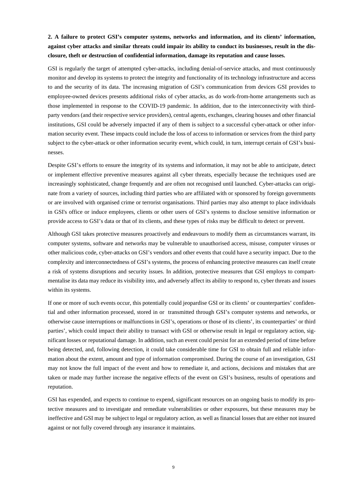# **2. A failure to protect GSI's computer systems, networks and information, and its clients' information, against cyber attacks and similar threats could impair its ability to conduct its businesses, result in the disclosure, theft or destruction of confidential information, damage its reputation and cause losses.**

GSI is regularly the target of attempted cyber-attacks, including denial-of-service attacks, and must continuously monitor and develop its systems to protect the integrity and functionality of its technology infrastructure and access to and the security of its data. The increasing migration of GSI's communication from devices GSI provides to employee-owned devices presents additional risks of cyber attacks, as do work-from-home arrangements such as those implemented in response to the COVID-19 pandemic. In addition, due to the interconnectivity with thirdparty vendors (and their respective service providers), central agents, exchanges, clearing houses and other financial institutions, GSI could be adversely impacted if any of them is subject to a successful cyber-attack or other information security event. These impacts could include the loss of access to information or services from the third party subject to the cyber-attack or other information security event, which could, in turn, interrupt certain of GSI's businesses.

Despite GSI's efforts to ensure the integrity of its systems and information, it may not be able to anticipate, detect or implement effective preventive measures against all cyber threats, especially because the techniques used are increasingly sophisticated, change frequently and are often not recognised until launched. Cyber-attacks can originate from a variety of sources, including third parties who are affiliated with or sponsored by foreign governments or are involved with organised crime or terrorist organisations. Third parties may also attempt to place individuals in GSI's office or induce employees, clients or other users of GSI's systems to disclose sensitive information or provide access to GSI's data or that of its clients, and these types of risks may be difficult to detect or prevent.

Although GSI takes protective measures proactively and endeavours to modify them as circumstances warrant, its computer systems, software and networks may be vulnerable to unauthorised access, misuse, computer viruses or other malicious code, cyber-attacks on GSI's vendors and other events that could have a security impact. Due to the complexity and interconnectedness of GSI's systems, the process of enhancing protective measures can itself create a risk of systems disruptions and security issues. In addition, protective measures that GSI employs to compartmentalise its data may reduce its visibility into, and adversely affect its ability to respond to, cyber threats and issues within its systems.

If one or more of such events occur, this potentially could jeopardise GSI or its clients' or counterparties' confidential and other information processed, stored in or transmitted through GSI's computer systems and networks, or otherwise cause interruptions or malfunctions in GSI's, operations or those of its clients', its counterparties' or third parties', which could impact their ability to transact with GSI or otherwise result in legal or regulatory action, significant losses or reputational damage. In addition, such an event could persist for an extended period of time before being detected, and, following detection, it could take considerable time for GSI to obtain full and reliable information about the extent, amount and type of information compromised. During the course of an investigation, GSI may not know the full impact of the event and how to remediate it, and actions, decisions and mistakes that are taken or made may further increase the negative effects of the event on GSI's business, results of operations and reputation.

GSI has expended, and expects to continue to expend, significant resources on an ongoing basis to modify its protective measures and to investigate and remediate vulnerabilities or other exposures, but these measures may be ineffective and GSI may be subject to legal or regulatory action, as well as financial losses that are either not insured against or not fully covered through any insurance it maintains.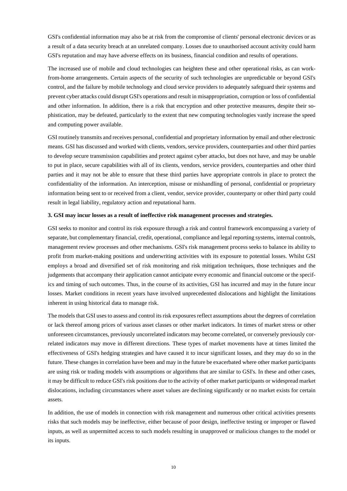GSI's confidential information may also be at risk from the compromise of clients' personal electronic devices or as a result of a data security breach at an unrelated company. Losses due to unauthorised account activity could harm GSI's reputation and may have adverse effects on its business, financial condition and results of operations.

The increased use of mobile and cloud technologies can heighten these and other operational risks, as can workfrom-home arrangements. Certain aspects of the security of such technologies are unpredictable or beyond GSI's control, and the failure by mobile technology and cloud service providers to adequately safeguard their systems and prevent cyber attacks could disrupt GSI's operations and result in misappropriation, corruption or loss of confidential and other information. In addition, there is a risk that encryption and other protective measures, despite their sophistication, may be defeated, particularly to the extent that new computing technologies vastly increase the speed and computing power available.

GSI routinely transmits and receives personal, confidential and proprietary information by email and other electronic means. GSI has discussed and worked with clients, vendors, service providers, counterparties and other third parties to develop secure transmission capabilities and protect against cyber attacks, but does not have, and may be unable to put in place, secure capabilities with all of its clients, vendors, service providers, counterparties and other third parties and it may not be able to ensure that these third parties have appropriate controls in place to protect the confidentiality of the information. An interception, misuse or mishandling of personal, confidential or proprietary information being sent to or received from a client, vendor, service provider, counterparty or other third party could result in legal liability, regulatory action and reputational harm.

### **3. GSI may incur losses as a result of ineffective risk management processes and strategies.**

GSI seeks to monitor and control its risk exposure through a risk and control framework encompassing a variety of separate, but complementary financial, credit, operational, compliance and legal reporting systems, internal controls, management review processes and other mechanisms. GSI's risk management process seeks to balance its ability to profit from market-making positions and underwriting activities with its exposure to potential losses. Whilst GSI employs a broad and diversified set of risk monitoring and risk mitigation techniques, those techniques and the judgements that accompany their application cannot anticipate every economic and financial outcome or the specifics and timing of such outcomes. Thus, in the course of its activities, GSI has incurred and may in the future incur losses. Market conditions in recent years have involved unprecedented dislocations and highlight the limitations inherent in using historical data to manage risk.

The models that GSI uses to assess and control its risk exposures reflect assumptions about the degrees of correlation or lack thereof among prices of various asset classes or other market indicators. In times of market stress or other unforeseen circumstances, previously uncorrelated indicators may become correlated, or conversely previously correlated indicators may move in different directions. These types of market movements have at times limited the effectiveness of GSI's hedging strategies and have caused it to incur significant losses, and they may do so in the future. These changes in correlation have been and may in the future be exacerbated where other market participants are using risk or trading models with assumptions or algorithms that are similar to GSI's. In these and other cases, it may be difficult to reduce GSI's risk positions due to the activity of other market participants or widespread market dislocations, including circumstances where asset values are declining significantly or no market exists for certain assets.

In addition, the use of models in connection with risk management and numerous other critical activities presents risks that such models may be ineffective, either because of poor design, ineffective testing or improper or flawed inputs, as well as unpermitted access to such models resulting in unapproved or malicious changes to the model or its inputs.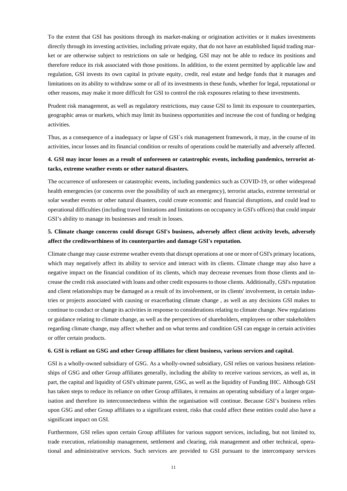To the extent that GSI has positions through its market-making or origination activities or it makes investments directly through its investing activities, including private equity, that do not have an established liquid trading market or are otherwise subject to restrictions on sale or hedging, GSI may not be able to reduce its positions and therefore reduce its risk associated with those positions. In addition, to the extent permitted by applicable law and regulation, GSI invests its own capital in private equity, credit, real estate and hedge funds that it manages and limitations on its ability to withdraw some or all of its investments in these funds, whether for legal, reputational or other reasons, may make it more difficult for GSI to control the risk exposures relating to these investments.

Prudent risk management, as well as regulatory restrictions, may cause GSI to limit its exposure to counterparties, geographic areas or markets, which may limit its business opportunities and increase the cost of funding or hedging activities.

Thus, as a consequence of a inadequacy or lapse of GSI`s risk management framework, it may, in the course of its activities, incur losses and its financial condition or results of operations could be materially and adversely affected.

# **4. GSI may incur losses as a result of unforeseen or catastrophic events, including pandemics, terrorist attacks, extreme weather events or other natural disasters.**

The occurrence of unforeseen or catastrophic events, including pandemics such as COVID-19, or other widespread health emergencies (or concerns over the possibility of such an emergency), terrorist attacks, extreme terrestrial or solar weather events or other natural disasters, could create economic and financial disruptions, and could lead to operational difficulties (including travel limitations and limitations on occupancy in GSI's offices) that could impair GSI's ability to manage its businesses and result in losses.

# **5. Climate change concerns could disrupt GSI's business, adversely affect client activity levels, adversely affect the creditworthiness of its counterparties and damage GSI's reputation.**

Climate change may cause extreme weather events that disrupt operations at one or more of GSI's primary locations, which may negatively affect its ability to service and interact with its clients. Climate change may also have a negative impact on the financial condition of its clients, which may decrease revenues from those clients and increase the credit risk associated with loans and other credit exposures to those clients. Additionally, GSI's reputation and client relationships may be damaged as a result of its involvement, or its clients' involvement, in certain industries or projects associated with causing or exacerbating climate change , as well as any decisions GSI makes to continue to conduct or change its activities in response to considerations relating to climate change. New regulations or guidance relating to climate change, as well as the perspectives of shareholders, employees or other stakeholders regarding climate change, may affect whether and on what terms and condition GSI can engage in certain activities or offer certain products.

### **6. GSI is reliant on GSG and other Group affiliates for client business, various services and capital.**

GSI is a wholly-owned subsidiary of GSG. As a wholly-owned subsidiary, GSI relies on various business relationships of GSG and other Group affiliates generally, including the ability to receive various services, as well as, in part, the capital and liquidity of GSI's ultimate parent, GSG, as well as the liquidity of Funding IHC. Although GSI has taken steps to reduce its reliance on other Group affiliates, it remains an operating subsidiary of a larger organisation and therefore its interconnectedness within the organisation will continue. Because GSI's business relies upon GSG and other Group affiliates to a significant extent, risks that could affect these entities could also have a significant impact on GSI.

Furthermore, GSI relies upon certain Group affiliates for various support services, including, but not limited to, trade execution, relationship management, settlement and clearing, risk management and other technical, operational and administrative services. Such services are provided to GSI pursuant to the intercompany services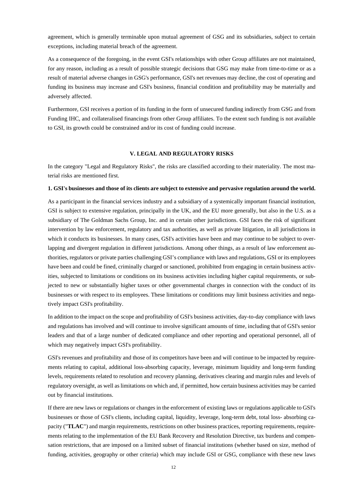agreement, which is generally terminable upon mutual agreement of GSG and its subsidiaries, subject to certain exceptions, including material breach of the agreement.

As a consequence of the foregoing, in the event GSI's relationships with other Group affiliates are not maintained, for any reason, including as a result of possible strategic decisions that GSG may make from time-to-time or as a result of material adverse changes in GSG's performance, GSI's net revenues may decline, the cost of operating and funding its business may increase and GSI's business, financial condition and profitability may be materially and adversely affected.

Furthermore, GSI receives a portion of its funding in the form of unsecured funding indirectly from GSG and from Funding IHC, and collateralised financings from other Group affiliates. To the extent such funding is not available to GSI, its growth could be constrained and/or its cost of funding could increase.

#### **V. LEGAL AND REGULATORY RISKS**

In the category "Legal and Regulatory Risks", the risks are classified according to their materiality. The most material risks are mentioned first.

### **1. GSI's businesses and those of its clients are subject to extensive and pervasive regulation around the world.**

As a participant in the financial services industry and a subsidiary of a systemically important financial institution, GSI is subject to extensive regulation, principally in the UK, and the EU more generally, but also in the U.S. as a subsidiary of The Goldman Sachs Group, Inc. and in certain other jurisdictions. GSI faces the risk of significant intervention by law enforcement, regulatory and tax authorities, as well as private litigation, in all jurisdictions in which it conducts its businesses. In many cases, GSI's activities have been and may continue to be subject to overlapping and divergent regulation in different jurisdictions. Among other things, as a result of law enforcement authorities, regulators or private parties challenging GSI's compliance with laws and regulations, GSI or its employees have been and could be fined, criminally charged or sanctioned, prohibited from engaging in certain business activities, subjected to limitations or conditions on its business activities including higher capital requirements, or subjected to new or substantially higher taxes or other governmental charges in connection with the conduct of its businesses or with respect to its employees. These limitations or conditions may limit business activities and negatively impact GSI's profitability.

In addition to the impact on the scope and profitability of GSI's business activities, day-to-day compliance with laws and regulations has involved and will continue to involve significant amounts of time, including that of GSI's senior leaders and that of a large number of dedicated compliance and other reporting and operational personnel, all of which may negatively impact GSI's profitability.

GSI's revenues and profitability and those of its competitors have been and will continue to be impacted by requirements relating to capital, additional loss-absorbing capacity, leverage, minimum liquidity and long-term funding levels, requirements related to resolution and recovery planning, derivatives clearing and margin rules and levels of regulatory oversight, as well as limitations on which and, if permitted, how certain business activities may be carried out by financial institutions.

If there are new laws or regulations or changes in the enforcement of existing laws or regulations applicable to GSI's businesses or those of GSI's clients, including capital, liquidity, leverage, long-term debt, total loss- absorbing capacity ("**TLAC**") and margin requirements, restrictions on other business practices, reporting requirements, requirements relating to the implementation of the EU Bank Recovery and Resolution Directive, tax burdens and compensation restrictions, that are imposed on a limited subset of financial institutions (whether based on size, method of funding, activities, geography or other criteria) which may include GSI or GSG, compliance with these new laws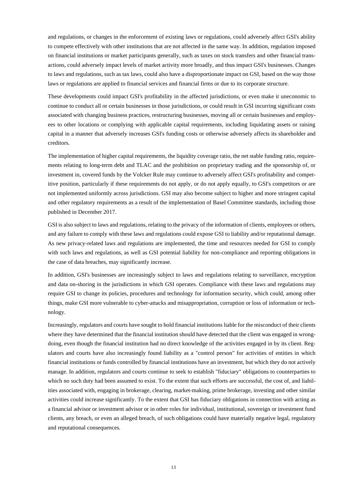and regulations, or changes in the enforcement of existing laws or regulations, could adversely affect GSI's ability to compete effectively with other institutions that are not affected in the same way. In addition, regulation imposed on financial institutions or market participants generally, such as taxes on stock transfers and other financial transactions, could adversely impact levels of market activity more broadly, and thus impact GSI's businesses. Changes to laws and regulations, such as tax laws, could also have a disproportionate impact on GSI, based on the way those laws or regulations are applied to financial services and financial firms or due to its corporate structure.

These developments could impact GSI's profitability in the affected jurisdictions, or even make it uneconomic to continue to conduct all or certain businesses in those jurisdictions, or could result in GSI incurring significant costs associated with changing business practices, restructuring businesses, moving all or certain businesses and employees to other locations or complying with applicable capital requirements, including liquidating assets or raising capital in a manner that adversely increases GSI's funding costs or otherwise adversely affects its shareholder and creditors.

The implementation of higher capital requirements, the liquidity coverage ratio, the net stable funding ratio, requirements relating to long-term debt and TLAC and the prohibition on proprietary trading and the sponsorship of, or investment in, covered funds by the Volcker Rule may continue to adversely affect GSI's profitability and competitive position, particularly if these requirements do not apply, or do not apply equally, to GSI's competitors or are not implemented uniformly across jurisdictions. GSI may also become subject to higher and more stringent capital and other regulatory requirements as a result of the implementation of Basel Committee standards, including those published in December 2017.

GSI is also subject to laws and regulations, relating to the privacy of the information of clients, employees or others, and any failure to comply with these laws and regulations could expose GSI to liability and/or reputational damage. As new privacy-related laws and regulations are implemented, the time and resources needed for GSI to comply with such laws and regulations, as well as GSI potential liability for non-compliance and reporting obligations in the case of data breaches, may significantly increase.

In addition, GSI's businesses are increasingly subject to laws and regulations relating to surveillance, encryption and data on-shoring in the jurisdictions in which GSI operates. Compliance with these laws and regulations may require GSI to change its policies, procedures and technology for information security, which could, among other things, make GSI more vulnerable to cyber-attacks and misappropriation, corruption or loss of information or technology.

Increasingly, regulators and courts have sought to hold financial institutions liable for the misconduct of their clients where they have determined that the financial institution should have detected that the client was engaged in wrongdoing, even though the financial institution had no direct knowledge of the activities engaged in by its client. Regulators and courts have also increasingly found liability as a "control person" for activities of entities in which financial institutions or funds controlled by financial institutions have an investment, but which they do not actively manage. In addition, regulators and courts continue to seek to establish "fiduciary" obligations to counterparties to which no such duty had been assumed to exist. To the extent that such efforts are successful, the cost of, and liabilities associated with, engaging in brokerage, clearing, market-making, prime brokerage, investing and other similar activities could increase significantly. To the extent that GSI has fiduciary obligations in connection with acting as a financial advisor or investment advisor or in other roles for individual, institutional, sovereign or investment fund clients, any breach, or even an alleged breach, of such obligations could have materially negative legal, regulatory and reputational consequences.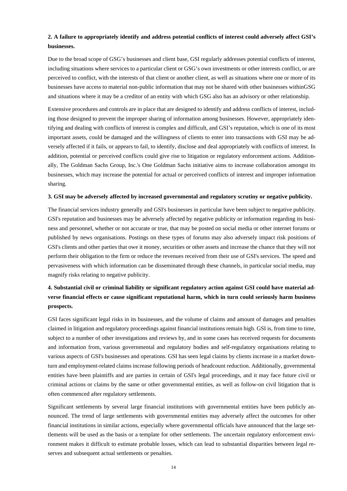# **2. A failure to appropriately identify and address potential conflicts of interest could adversely affect GSI's businesses.**

Due to the broad scope of GSG's businesses and client base, GSI regularly addresses potential conflicts of interest, including situations where services to a particular client or GSG's own investments or other interests conflict, or are perceived to conflict, with the interests of that client or another client, as well as situations where one or more of its businesses have access to material non-public information that may not be shared with other businesses withinGSG and situations where it may be a creditor of an entity with which GSG also has an advisory or other relationship.

Extensive procedures and controls are in place that are designed to identify and address conflicts of interest, including those designed to prevent the improper sharing of information among businesses. However, appropriately identifying and dealing with conflicts of interest is complex and difficult, and GSI's reputation, which is one of its most important assets, could be damaged and the willingness of clients to enter into transactions with GSI may be adversely affected if it fails, or appears to fail, to identify, disclose and deal appropriately with conflicts of interest. In addition, potential or perceived conflicts could give rise to litigation or regulatory enforcement actions. Additionally, The Goldman Sachs Group, Inc.'s One Goldman Sachs initiative aims to increase collaboration amongst its businesses, which may increase the potential for actual or perceived conflicts of interest and improper information sharing.

### **3. GSI may be adversely affected by increased governmental and regulatory scrutiny or negative publicity.**

The financial services industry generally and GSI's businesses in particular have been subject to negative publicity. GSI's reputation and businesses may be adversely affected by negative publicity or information regarding its business and personnel, whether or not accurate or true, that may be posted on social media or other internet forums or published by news organisations. Postings on these types of forums may also adversely impact risk positions of GSI's clients and other parties that owe it money, securities or other assets and increase the chance that they will not perform their obligation to the firm or reduce the revenues received from their use of GSI's services. The speed and pervasiveness with which information can be disseminated through these channels, in particular social media, may magnify risks relating to negative publicity.

# **4. Substantial civil or criminal liability or significant regulatory action against GSI could have material adverse financial effects or cause significant reputational harm, which in turn could seriously harm business prospects.**

GSI faces significant legal risks in its businesses, and the volume of claims and amount of damages and penalties claimed in litigation and regulatory proceedings against financial institutions remain high. GSI is, from time to time, subject to a number of other investigations and reviews by, and in some cases has received requests for documents and information from, various governmental and regulatory bodies and self-regulatory organisations relating to various aspects of GSI's businesses and operations. GSI has seen legal claims by clients increase in a market downturn and employment-related claims increase following periods of headcount reduction. Additionally, governmental entities have been plaintiffs and are parties in certain of GSI's legal proceedings, and it may face future civil or criminal actions or claims by the same or other governmental entities, as well as follow-on civil litigation that is often commenced after regulatory settlements.

Significant settlements by several large financial institutions with governmental entities have been publicly announced. The trend of large settlements with governmental entities may adversely affect the outcomes for other financial institutions in similar actions, especially where governmental officials have announced that the large settlements will be used as the basis or a template for other settlements. The uncertain regulatory enforcement environment makes it difficult to estimate probable losses, which can lead to substantial disparities between legal reserves and subsequent actual settlements or penalties.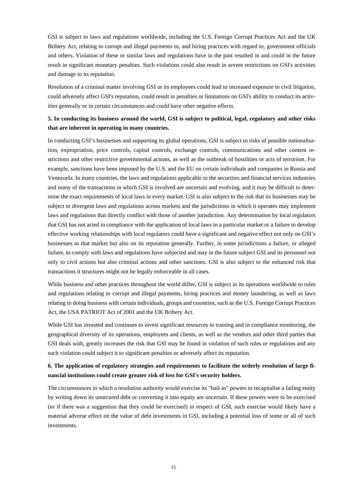GSI is subject to laws and regulations worldwide, including the U.S. Foreign Corrupt Practices Act and the UK Bribery Act, relating to corrupt and illegal payments to, and hiring practices with regard to, government officials and others. Violation of these or similar laws and regulations have in the past resulted in and could in the future result in significant monetary penalties. Such violations could also result in severe restrictions on GSI's activities and damage to its reputation.

Resolution of a criminal matter involving GSI or its employees could lead to increased exposure to civil litigation, could adversely affect GSI's reputation, could result in penalties or limitations on GSI's ability to conduct its activities generally or in certain circumstances and could have other negative effects.

# **5. In conducting its business around the world, GSI is subject to political, legal, regulatory and other risks that are inherent in operating in many countries.**

In conducting GSI's businesses and supporting its global operations, GSI is subject to risks of possible nationalisation, expropriation, price controls, capital controls, exchange controls, communications and other content restrictions and other restrictive governmental actions, as well as the outbreak of hostilities or acts of terrorism. For example, sanctions have been imposed by the U.S. and the EU on certain individuals and companies in Russia and Venezuela. In many countries, the laws and regulations applicable to the securities and financial services industries and many of the transactions in which GSI is involved are uncertain and evolving, and it may be difficult to determine the exact requirements of local laws in every market. GSI is also subject to the risk that its businesses may be subject to divergent laws and regulations across markets and the jurisdictions in which it operates may implement laws and regulations that directly conflict with those of another jurisdiction. Any determination by local regulators that GSI has not acted in compliance with the application of local laws in a particular market or a failure to develop effective working relationships with local regulators could have a significant and negative effect not only on GSI's businesses in that market but also on its reputation generally. Further, in some jurisdictions a failure, or alleged failure, to comply with laws and regulations have subjected and may in the future subject GSI and its personnel not only to civil actions but also criminal actions and other sanctions. GSI is also subject to the enhanced risk that transactions it structures might not be legally enforceable in all cases.

While business and other practices throughout the world differ, GSI is subject in its operations worldwide to rules and regulations relating to corrupt and illegal payments, hiring practices and money laundering, as well as laws relating to doing business with certain individuals, groups and countries, such as the U.S. Foreign Corrupt Practices Act, the USA PATRIOT Act of 2001 and the UK Bribery Act.

While GSI has invested and continues to invest significant resources in training and in compliance monitoring, the geographical diversity of its operations, employees and clients, as well as the vendors and other third parties that GSI deals with, greatly increases the risk that GSI may be found in violation of such rules or regulations and any such violation could subject it to significant penalties or adversely affect its reputation.

# **6. The application of regulatory strategies and requirements to facilitate the orderly resolution of large financial institutions could create greater risk of loss for GSI's security holders.**

The circumstances in which a resolution authority would exercise its "bail-in" powers to recapitalise a failing entity by writing down its unsecured debt or converting it into equity are uncertain. If these powers were to be exercised (or if there was a suggestion that they could be exercised) in respect of GSI, such exercise would likely have a material adverse effect on the value of debt investments in GSI, including a potential loss of some or all of such investments.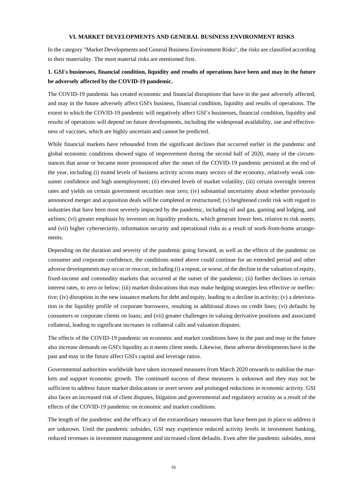### **VI. MARKET DEVELOPMENTS AND GENERAL BUSINESS ENVIRONMENT RISKS**

In the category "Market Developments and General Business Environment Risks", the risks are classified according to their materiality. The most material risks are mentioned first.

## **1. GSI's businesses, financial condition, liquidity and results of operations have been and may in the future be adversely affected by the COVID-19 pandemic.**

The COVID-19 pandemic has created economic and financial disruptions that have in the past adversely affected, and may in the future adversely affect GSI's business, financial condition, liquidity and results of operations. The extent to which the COVID-19 pandemic will negatively affect GSI's businesses, financial condition, liquidity and results of operations will depend on future developments, including the widespread availability, use and effectiveness of vaccines, which are highly uncertain and cannot be predicted.

While financial markets have rebounded from the significant declines that occurred earlier in the pandemic and global economic conditions showed signs of improvement during the second half of 2020, many of the circumstances that arose or became more pronounced after the onset of the COVID-19 pandemic persisted at the end of the year, including (i) muted levels of business activity across many sectors of the economy, relatively weak consumer confidence and high unemployment; (ii) elevated levels of market volatility; (iii) certain overnight interest rates and yields on certain government securities near zero; (iv) substantial uncertainty about whether previously announced merger and acquisition deals will be completed or restructured; (v) heightened credit risk with regard to industries that have been most severely impacted by the pandemic, including oil and gas, gaming and lodging, and airlines; (vi) greater emphasis by investors on liquidity products, which generate lower fees, relative to risk assets; and (vii) higher cybersecurity, information security and operational risks as a result of work-from-home arrangements.

Depending on the duration and severity of the pandemic going forward, as well as the effects of the pandemic on consumer and corporate confidence, the conditions noted above could continue for an extended period and other adverse developments may occur or reoccur, including (i) a repeat, or worse, of the decline in the valuation of equity, fixed-income and commodity markets that occurred at the outset of the pandemic; (ii) further declines in certain interest rates, to zero or below; (iii) market dislocations that may make hedging strategies less effective or ineffective; (iv) disruption in the new issuance markets for debt and equity, leading to a decline in activity; (v) a deterioration in the liquidity profile of corporate borrowers, resulting in additional draws on credit lines; (vi) defaults by consumers or corporate clients on loans; and (vii) greater challenges in valuing derivative positions and associated collateral, leading to significant increases in collateral calls and valuation disputes.

The effects of the COVID-19 pandemic on economic and market conditions have in the past and may in the future also increase demands on GSI's liquidity as it meets client needs. Likewise, these adverse developments have in the past and may in the future affect GSI's capital and leverage ratios.

Governmental authorities worldwide have taken increased measures from March 2020 onwards to stabilise the markets and support economic growth. The continued success of these measures is unknown and they may not be sufficient to address future market dislocations or avert severe and prolonged reductions in economic activity. GSI also faces an increased risk of client disputes, litigation and governmental and regulatory scrutiny as a result of the effects of the COVID-19 pandemic on economic and market conditions.

The length of the pandemic and the efficacy of the extraordinary measures that have been put in place to address it are unknown. Until the pandemic subsides, GSI may experience reduced activity levels in investment banking, reduced revenues in investment management and increased client defaults. Even after the pandemic subsides, most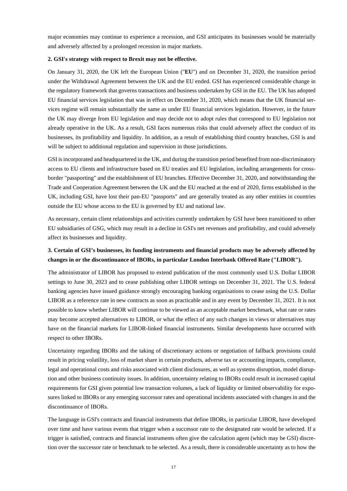major economies may continue to experience a recession, and GSI anticipates its businesses would be materially and adversely affected by a prolonged recession in major markets.

#### **2. GSI's strategy with respect to Brexit may not be effective.**

On January 31, 2020, the UK left the European Union ("**EU**") and on December 31, 2020, the transition period under the Withdrawal Agreement between the UK and the EU ended. GSI has experienced considerable change in the regulatory framework that governs transactions and business undertaken by GSI in the EU. The UK has adopted EU financial services legislation that was in effect on December 31, 2020, which means that the UK financial services regime will remain substantially the same as under EU financial services legislation. However, in the future the UK may diverge from EU legislation and may decide not to adopt rules that correspond to EU legislation not already operative in the UK. As a result, GSI faces numerous risks that could adversely affect the conduct of its businesses, its profitability and liquidity. In addition, as a result of establishing third country branches, GSI is and will be subject to additional regulation and supervision in those jurisdictions.

GSI is incorporated and headquartered in the UK, and during the transition period benefited from non-discriminatory access to EU clients and infrastructure based on EU treaties and EU legislation, including arrangements for crossborder "passporting" and the establishment of EU branches. Effective December 31, 2020, and notwithstanding the Trade and Cooperation Agreement between the UK and the EU reached at the end of 2020, firms established in the UK, including GSI, have lost their pan-EU "passports" and are generally treated as any other entities in countries outside the EU whose access to the EU is governed by EU and national law.

As necessary, certain client relationships and activities currently undertaken by GSI have been transitioned to other EU subsidiaries of GSG, which may result in a decline in GSI's net revenues and profitability, and could adversely affect its businesses and liquidity.

## **3. Certain of GSI's businesses, its funding instruments and financial products may be adversely affected by changes in or the discontinuance of IBORs, in particular London Interbank Offered Rate ("LIBOR").**

The administrator of LIBOR has proposed to extend publication of the most commonly used U.S. Dollar LIBOR settings to June 30, 2023 and to cease publishing other LIBOR settings on December 31, 2021. The U.S. federal banking agencies have issued guidance strongly encouraging banking organisations to cease using the U.S. Dollar LIBOR as a reference rate in new contracts as soon as practicable and in any event by December 31, 2021. It is not possible to know whether LIBOR will continue to be viewed as an acceptable market benchmark, what rate or rates may become accepted alternatives to LIBOR, or what the effect of any such changes in views or alternatives may have on the financial markets for LIBOR-linked financial instruments. Similar developments have occurred with respect to other IBORs.

Uncertainty regarding IBORs and the taking of discretionary actions or negotiation of fallback provisions could result in pricing volatility, loss of market share in certain products, adverse tax or accounting impacts, compliance, legal and operational costs and risks associated with client disclosures, as well as systems disruption, model disruption and other business continuity issues. In addition, uncertainty relating to IBORs could result in increased capital requirements for GSI given potential low transaction volumes, a lack of liquidity or limited observability for exposures linked to IBORs or any emerging successor rates and operational incidents associated with changes in and the discontinuance of IBORs.

The language in GSI's contracts and financial instruments that define IBORs, in particular LIBOR, have developed over time and have various events that trigger when a successor rate to the designated rate would be selected. If a trigger is satisfied, contracts and financial instruments often give the calculation agent (which may be GSI) discretion over the successor rate or benchmark to be selected. As a result, there is considerable uncertainty as to how the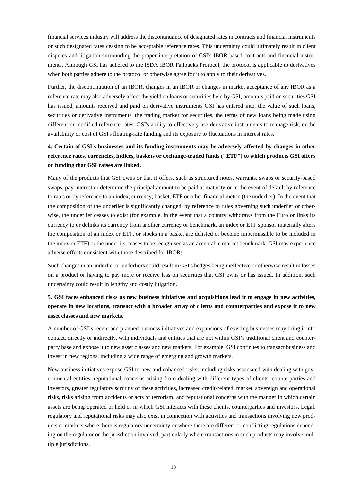financial services industry will address the discontinuance of designated rates in contracts and financial instruments or such designated rates ceasing to be acceptable reference rates. This uncertainty could ultimately result in client disputes and litigation surrounding the proper interpretation of GSI's IBOR-based contracts and financial instruments. Although GSI has adhered to the ISDA IBOR Fallbacks Protocol, the protocol is applicable to derivatives when both parties adhere to the protocol or otherwise agree for it to apply to their derivatives.

Further, the discontinuation of an IBOR, changes in an IBOR or changes in market acceptance of any IBOR as a reference rate may also adversely affect the yield on loans or securities held by GSI, amounts paid on securities GSI has issued, amounts received and paid on derivative instruments GSI has entered into, the value of such loans, securities or derivative instruments, the trading market for securities, the terms of new loans being made using different or modified reference rates, GSI's ability to effectively use derivative instruments to manage risk, or the availability or cost of GSI's floating-rate funding and its exposure to fluctuations in interest rates.

# **4. Certain of GSI's businesses and its funding instruments may be adversely affected by changes in other reference rates, currencies, indices, baskets or exchange-traded funds ("ETF") to which products GSI offers or funding that GSI raises are linked.**

Many of the products that GSI owns or that it offers, such as structured notes, warrants, swaps or security-based swaps, pay interest or determine the principal amount to be paid at maturity or in the event of default by reference to rates or by reference to an index, currency, basket, ETF or other financial metric (the underlier). In the event that the composition of the underlier is significantly changed, by reference to rules governing such underlier or otherwise, the underlier ceases to exist (for example, in the event that a country withdraws from the Euro or links its currency to or delinks its currency from another currency or benchmark, an index or ETF sponsor materially alters the composition of an index or ETF, or stocks in a basket are delisted or become impermissible to be included in the index or ETF) or the underlier ceases to be recognised as an acceptable market benchmark, GSI may experience adverse effects consistent with those described for IBORs

Such changes in an underlier or underliers could result in GSI's hedges being ineffective or otherwise result in losses on a product or having to pay more or receive less on securities that GSI owns or has issued. In addition, such uncertainty could result in lengthy and costly litigation.

# **5. GSI faces enhanced risks as new business initiatives and acquisitions lead it to engage in new activities, operate in new locations, transact with a broader array of clients and counterparties and expose it to new asset classes and new markets.**

A number of GSI's recent and planned business initiatives and expansions of existing businesses may bring it into contact, directly or indirectly, with individuals and entities that are not within GSI's traditional client and counterparty base and expose it to new asset classes and new markets. For example, GSI continues to transact business and invest in new regions, including a wide range of emerging and growth markets.

New business initiatives expose GSI to new and enhanced risks, including risks associated with dealing with governmental entities, reputational concerns arising from dealing with different types of clients, counterparties and investors, greater regulatory scrutiny of these activities, increased credit-related, market, sovereign and operational risks, risks arising from accidents or acts of terrorism, and reputational concerns with the manner in which certain assets are being operated or held or in which GSI interacts with these clients, counterparties and investors. Legal, regulatory and reputational risks may also exist in connection with activities and transactions involving new products or markets where there is regulatory uncertainty or where there are different or conflicting regulations depending on the regulator or the jurisdiction involved, particularly where transactions in such products may involve multiple jurisdictions.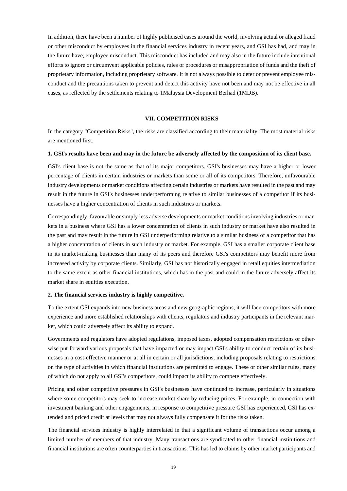In addition, there have been a number of highly publicised cases around the world, involving actual or alleged fraud or other misconduct by employees in the financial services industry in recent years, and GSI has had, and may in the future have, employee misconduct. This misconduct has included and may also in the future include intentional efforts to ignore or circumvent applicable policies, rules or procedures or misappropriation of funds and the theft of proprietary information, including proprietary software. It is not always possible to deter or prevent employee misconduct and the precautions taken to prevent and detect this activity have not been and may not be effective in all cases, as reflected by the settlements relating to 1Malaysia Development Berhad (1MDB).

### **VII. COMPETITION RISKS**

In the category "Competition Risks", the risks are classified according to their materiality. The most material risks are mentioned first.

#### **1. GSI**'**s results have been and may in the future be adversely affected by the composition of its client base.**

GSI's client base is not the same as that of its major competitors. GSI's businesses may have a higher or lower percentage of clients in certain industries or markets than some or all of its competitors. Therefore, unfavourable industry developments or market conditions affecting certain industries or markets have resulted in the past and may result in the future in GSI's businesses underperforming relative to similar businesses of a competitor if its businesses have a higher concentration of clients in such industries or markets.

Correspondingly, favourable or simply less adverse developments or market conditions involving industries or markets in a business where GSI has a lower concentration of clients in such industry or market have also resulted in the past and may result in the future in GSI underperforming relative to a similar business of a competitor that has a higher concentration of clients in such industry or market. For example, GSI has a smaller corporate client base in its market-making businesses than many of its peers and therefore GSI's competitors may benefit more from increased activity by corporate clients. Similarly, GSI has not historically engaged in retail equities intermediation to the same extent as other financial institutions, which has in the past and could in the future adversely affect its market share in equities execution.

#### **2. The financial services industry is highly competitive.**

To the extent GSI expands into new business areas and new geographic regions, it will face competitors with more experience and more established relationships with clients, regulators and industry participants in the relevant market, which could adversely affect its ability to expand.

Governments and regulators have adopted regulations, imposed taxes, adopted compensation restrictions or otherwise put forward various proposals that have impacted or may impact GSI's ability to conduct certain of its businesses in a cost-effective manner or at all in certain or all jurisdictions, including proposals relating to restrictions on the type of activities in which financial institutions are permitted to engage. These or other similar rules, many of which do not apply to all GSI's competitors, could impact its ability to compete effectively.

Pricing and other competitive pressures in GSI's businesses have continued to increase, particularly in situations where some competitors may seek to increase market share by reducing prices. For example, in connection with investment banking and other engagements, in response to competitive pressure GSI has experienced, GSI has extended and priced credit at levels that may not always fully compensate it for the risks taken.

The financial services industry is highly interrelated in that a significant volume of transactions occur among a limited number of members of that industry. Many transactions are syndicated to other financial institutions and financial institutions are often counterparties in transactions. This has led to claims by other market participants and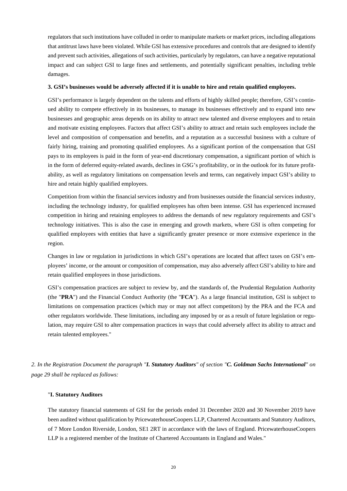regulators that such institutions have colluded in order to manipulate markets or market prices, including allegations that antitrust laws have been violated. While GSI has extensive procedures and controls that are designed to identify and prevent such activities, allegations of such activities, particularly by regulators, can have a negative reputational impact and can subject GSI to large fines and settlements, and potentially significant penalties, including treble damages.

### **3. GSI's businesses would be adversely affected if it is unable to hire and retain qualified employees.**

GSI's performance is largely dependent on the talents and efforts of highly skilled people; therefore, GSI's continued ability to compete effectively in its businesses, to manage its businesses effectively and to expand into new businesses and geographic areas depends on its ability to attract new talented and diverse employees and to retain and motivate existing employees. Factors that affect GSI's ability to attract and retain such employees include the level and composition of compensation and benefits, and a reputation as a successful business with a culture of fairly hiring, training and promoting qualified employees. As a significant portion of the compensation that GSI pays to its employees is paid in the form of year-end discretionary compensation, a significant portion of which is in the form of deferred equity-related awards, declines in GSG's profitability, or in the outlook for its future profitability, as well as regulatory limitations on compensation levels and terms, can negatively impact GSI's ability to hire and retain highly qualified employees.

Competition from within the financial services industry and from businesses outside the financial services industry, including the technology industry, for qualified employees has often been intense. GSI has experienced increased competition in hiring and retaining employees to address the demands of new regulatory requirements and GSI's technology initiatives. This is also the case in emerging and growth markets, where GSI is often competing for qualified employees with entities that have a significantly greater presence or more extensive experience in the region.

Changes in law or regulation in jurisdictions in which GSI's operations are located that affect taxes on GSI's employees' income, or the amount or composition of compensation, may also adversely affect GSI's ability to hire and retain qualified employees in those jurisdictions.

GSI's compensation practices are subject to review by, and the standards of, the Prudential Regulation Authority (the "**PRA**") and the Financial Conduct Authority (the "**FCA**"). As a large financial institution, GSI is subject to limitations on compensation practices (which may or may not affect competitors) by the PRA and the FCA and other regulators worldwide. These limitations, including any imposed by or as a result of future legislation or regulation, may require GSI to alter compensation practices in ways that could adversely affect its ability to attract and retain talented employees."

*2. In the Registration Document the paragraph "I. Statutory Auditors" of section "C. Goldman Sachs International" on page 29 shall be replaced as follows:* 

#### "**I. Statutory Auditors**

The statutory financial statements of GSI for the periods ended 31 December 2020 and 30 November 2019 have been audited without qualification by PricewaterhouseCoopers LLP, Chartered Accountants and Statutory Auditors, of 7 More London Riverside, London, SE1 2RT in accordance with the laws of England. PricewaterhouseCoopers LLP is a registered member of the Institute of Chartered Accountants in England and Wales."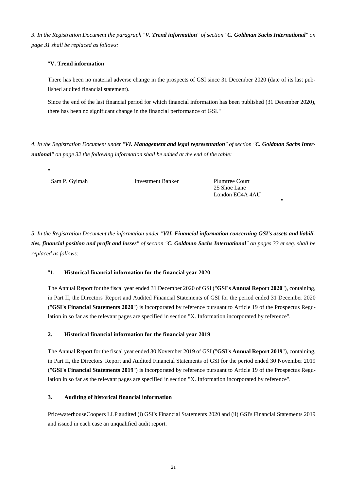*3. In the Registration Document the paragraph "V. Trend information" of section "C. Goldman Sachs International" on page 31 shall be replaced as follows:* 

### "**V. Trend information**

There has been no material adverse change in the prospects of GSI since 31 December 2020 (date of its last published audited financial statement).

Since the end of the last financial period for which financial information has been published (31 December 2020), there has been no significant change in the financial performance of GSI."

*4. In the Registration Document under "VI. Management and legal representation" of section "C. Goldman Sachs International" on page 32 the following information shall be added at the end of the table:* 

"

Sam P. Gyimah Investment Banker Plumtree Court

25 Shoe Lane London EC4A 4AU

"

*5. In the Registration Document the information under "VII. Financial information concerning GSI's assets and liabilities, financial position and profit and losses" of section "C. Goldman Sachs International" on pages 33 et seq. shall be replaced as follows:*

### "**1. Historical financial information for the financial year 2020**

The Annual Report for the fiscal year ended 31 December 2020 of GSI ("**GSI's Annual Report 2020**"), containing, in Part II, the Directors' Report and Audited Financial Statements of GSI for the period ended 31 December 2020 ("**GSI's Financial Statements 2020**") is incorporated by reference pursuant to Article 19 of the Prospectus Regulation in so far as the relevant pages are specified in section "X. Information incorporated by reference".

### **2. Historical financial information for the financial year 2019**

The Annual Report for the fiscal year ended 30 November 2019 of GSI ("**GSI's Annual Report 2019**"), containing, in Part II, the Directors' Report and Audited Financial Statements of GSI for the period ended 30 November 2019 ("**GSI's Financial Statements 2019**") is incorporated by reference pursuant to Article 19 of the Prospectus Regulation in so far as the relevant pages are specified in section "X. Information incorporated by reference".

### **3. Auditing of historical financial information**

PricewaterhouseCoopers LLP audited (i) GSI's Financial Statements 2020 and (ii) GSI's Financial Statements 2019 and issued in each case an unqualified audit report.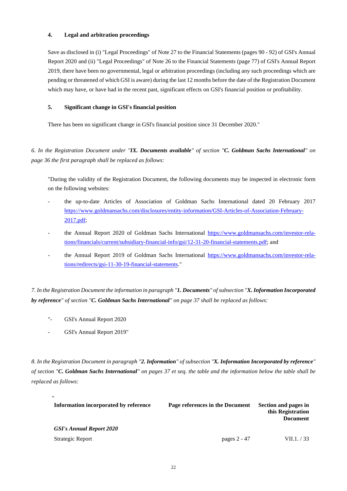### **4. Legal and arbitration proceedings**

Save as disclosed in (i) "Legal Proceedings" of Note 27 to the Financial Statements (pages 90 - 92) of GSI's Annual Report 2020 and (ii) "Legal Proceedings" of Note 26 to the Financial Statements (page 77) of GSI's Annual Report 2019, there have been no governmental, legal or arbitration proceedings (including any such proceedings which are pending or threatened of which GSI is aware) during the last 12 months before the date of the Registration Document which may have, or have had in the recent past, significant effects on GSI's financial position or profitability.

### **5. Significant change in GSI's financial position**

There has been no significant change in GSI's financial position since 31 December 2020."

*6. In the Registration Document under "IX. Documents available" of section "C. Goldman Sachs International" on page 36 the first paragraph shall be replaced as follows:* 

"During the validity of the Registration Document, the following documents may be inspected in electronic form on the following websites:

- the up-to-date Articles of Association of Goldman Sachs International dated 20 February 2017 [https://www.goldmansachs.com/disclosures/entity-information/GSI-Articles-of-Association-February-](https://www.goldmansachs.com/disclosures/entity-information/GSI-Articles-of-Association-February-2017.pdf)[2017.pdf;](https://www.goldmansachs.com/disclosures/entity-information/GSI-Articles-of-Association-February-2017.pdf)
- the Annual Report 2020 of Goldman Sachs International [https://www.goldmansachs.com/investor-rela](https://www.goldmansachs.com/investor-relations/financials/current/subsidiary-financial-info/gsi/12-31-20-financial-statements.pdf)[tions/financials/current/subsidiary-financial-info/gsi/12-31-20-financial-statements.pdf; and](https://www.goldmansachs.com/investor-relations/financials/current/subsidiary-financial-info/gsi/12-31-20-financial-statements.pdf)
- the Annual Report 2019 of Goldman Sachs International [https://www.goldmansachs.com/investor-rela](https://www.goldmansachs.com/investor-relations/redirects/gsi-11-30-19-financial-statements)[tions/redirects/gsi-11-30-19-financial-statements."](https://www.goldmansachs.com/investor-relations/redirects/gsi-11-30-19-financial-statements)

*7. In the Registration Document the information in paragraph "1. Documents" of subsection "X. Information Incorporated by reference" of section "C. Goldman Sachs International" on page 37 shall be replaced as follows:* 

- ["-](http://-/) GSI's Annual Report 2020
- GSI's Annual Report 2019"

*8. In the Registration Document in paragraph "2. Information" of subsection "X. Information Incorporated by reference" of section "C. Goldman Sachs International" on pages 37 et seq. the table and the information below the table shall be replaced as follows:* 

| $^{\prime\prime}$<br>Information incorporated by reference | Page references in the Document | Section and pages in<br>this Registration<br><b>Document</b> |
|------------------------------------------------------------|---------------------------------|--------------------------------------------------------------|
| <b>GSI's Annual Report 2020</b>                            |                                 |                                                              |
| Strategic Report                                           | pages 2 - 47                    | VII.1. / 33                                                  |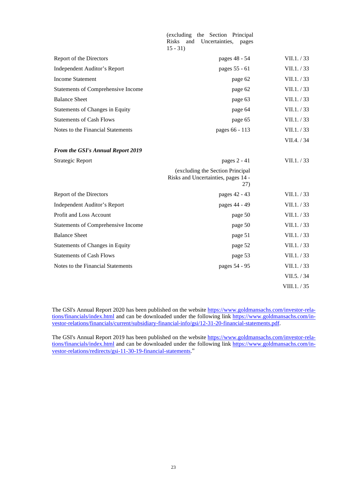|                                          | (excluding the Section Principal<br><b>Risks</b><br>and<br>Uncertainties,<br>pages<br>$15 - 31$ |              |
|------------------------------------------|-------------------------------------------------------------------------------------------------|--------------|
| Report of the Directors                  | pages 48 - 54                                                                                   | VII.1. / 33  |
| <b>Independent Auditor's Report</b>      | pages 55 - 61                                                                                   | VII.1. / 33  |
| <b>Income Statement</b>                  | page 62                                                                                         | VII.1. / 33  |
| Statements of Comprehensive Income       | page 62                                                                                         | VII.1. / 33  |
| <b>Balance Sheet</b>                     | page 63                                                                                         | VII.1. / 33  |
| Statements of Changes in Equity          | page 64                                                                                         | VII.1. / 33  |
| <b>Statements of Cash Flows</b>          | page 65                                                                                         | VII.1. / 33  |
| Notes to the Financial Statements        | pages 66 - 113                                                                                  | VII.1. / 33  |
|                                          |                                                                                                 | VII.4. / 34  |
| <b>From the GSI's Annual Report 2019</b> |                                                                                                 |              |
| <b>Strategic Report</b>                  | pages 2 - 41                                                                                    | VII.1. / 33  |
|                                          | (excluding the Section Principal<br>Risks and Uncertainties, pages 14 -<br>27)                  |              |
| Report of the Directors                  | pages 42 - 43                                                                                   | VII.1. / 33  |
| Independent Auditor's Report             | pages 44 - 49                                                                                   | VII.1. / 33  |
| Profit and Loss Account                  | page 50                                                                                         | VII.1. / 33  |
| Statements of Comprehensive Income       | page 50                                                                                         | VII.1. / 33  |
| <b>Balance Sheet</b>                     | page 51                                                                                         | VII.1. / 33  |
| <b>Statements of Changes in Equity</b>   | page 52                                                                                         | VII.1. / 33  |
| <b>Statements of Cash Flows</b>          | page 53                                                                                         | VII.1. / 33  |
| Notes to the Financial Statements        | pages 54 - 95                                                                                   | VII.1. / 33  |
|                                          |                                                                                                 | VII.5. / 34  |
|                                          |                                                                                                 | VIII.1. / 35 |

The GSI's Annual Report 2020 has been published on the website [https://www.goldmansachs.com/investor-rela](https://www.goldmansachs.com/investor-relations/financials/index.html)[tions/financials/index.html and can be downloaded under the following link https://www.goldmansachs.com/in](https://www.goldmansachs.com/investor-relations/financials/index.html)[vestor-relations/financials/current/subsidiary-financial-info/gsi/12-31-20-financial-statements.pdf.](https://www.goldmansachs.com/investor-relations/financials/current/subsidiary-financial-info/gsi/12-31-20-financial-statements.pdf)

The GSI's Annual Report 2019 has been published on the website [https://www.goldmansachs.com/investor-rela](https://www.goldmansachs.com/investor-relations/financials/index.html)[tions/financials/index.html and can be downloaded under the following link https://www.goldmansachs.com/in](https://www.goldmansachs.com/investor-relations/financials/index.html)[vestor-relations/redirects/gsi-11-30-19-financial-statements.](https://www.goldmansachs.com/investor-relations/redirects/gsi-11-30-19-financial-statements)"